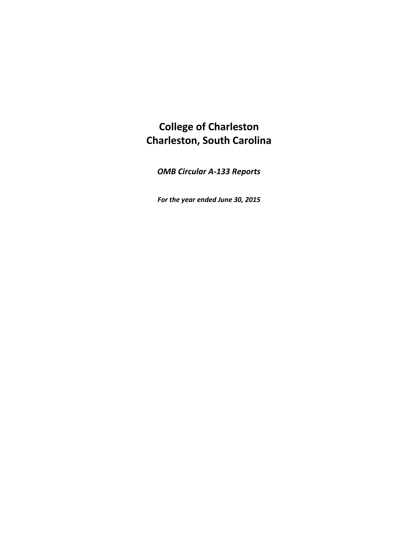# **College of Charleston Charleston, South Carolina**

*OMB Circular A-133 Reports*

*For the year ended June 30, 2015*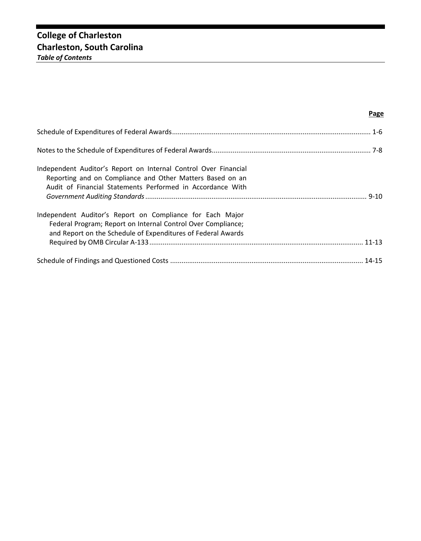| Independent Auditor's Report on Internal Control Over Financial<br>Reporting and on Compliance and Other Matters Based on an<br>Audit of Financial Statements Performed in Accordance With |  |
|--------------------------------------------------------------------------------------------------------------------------------------------------------------------------------------------|--|
| Independent Auditor's Report on Compliance for Each Major<br>Federal Program; Report on Internal Control Over Compliance;<br>and Report on the Schedule of Expenditures of Federal Awards  |  |
|                                                                                                                                                                                            |  |

**Page**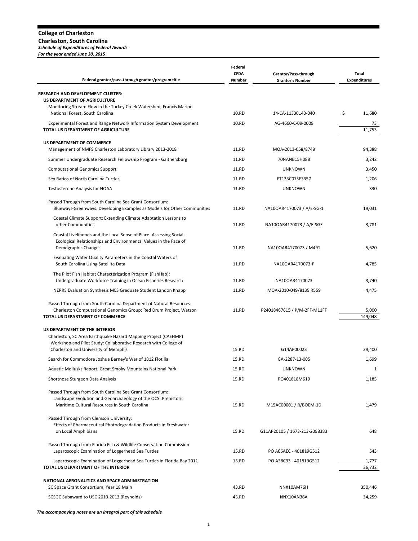**Charleston, South Carolina**

*Schedule of Expenditures of Federal Awards*

*For the year ended June 30, 2015*

| Federal grantor/pass-through grantor/program title                                                                                                                                                          | Federal<br><b>CFDA</b><br>Number | Grantor/Pass-through<br><b>Grantor's Number</b> | Total<br><b>Expenditures</b> |  |
|-------------------------------------------------------------------------------------------------------------------------------------------------------------------------------------------------------------|----------------------------------|-------------------------------------------------|------------------------------|--|
| RESEARCH AND DEVELOPMENT CLUSTER:                                                                                                                                                                           |                                  |                                                 |                              |  |
| US DEPARTMENT OF AGRICULTURE<br>Monitoring Stream Flow in the Turkey Creek Watershed, Francis Marion<br>National Forest, South Carolina                                                                     | 10.RD                            | 14-CA-11330140-040                              | \$<br>11,680                 |  |
| Experimental Forest and Range Network Information System Development<br>TOTAL US DEPARTMENT OF AGRICULTURE                                                                                                  | 10.RD                            | AG-4660-C-09-0009                               | 73<br>11,753                 |  |
| <b>US DEPARTMENT OF COMMERCE</b><br>Management of NMFS Charleston Laboratory Library 2013-2018                                                                                                              | 11.RD                            | MOA-2013-058/8748                               | 94,388                       |  |
| Summer Undergraduate Research Fellowship Program - Gaithersburg                                                                                                                                             | 11.RD                            | 70NANB15H088                                    | 3,242                        |  |
| <b>Computational Genomics Support</b>                                                                                                                                                                       | 11.RD                            | <b>UNKNOWN</b>                                  | 3,450                        |  |
| Sex Ratios of North Carolina Turtles                                                                                                                                                                        | 11.RD                            | ET133C07SE3357                                  | 1,206                        |  |
| <b>Testosterone Analysis for NOAA</b>                                                                                                                                                                       | 11.RD                            | <b>UNKNOWN</b>                                  | 330                          |  |
| Passed Through from South Carolina Sea Grant Consortium:<br>Blueways-Greenways: Developing Examples as Models for Other Communities                                                                         | 11.RD                            | NA10OAR4170073 / A/E-SG-1                       | 19,031                       |  |
| Coastal Climate Support: Extending Climate Adaptation Lessons to<br>other Communities                                                                                                                       | 11.RD                            | NA10OAR4170073 / A/E-SGE                        | 3,781                        |  |
| Coastal Livelihoods and the Local Sense of Place: Assessing Social-<br>Ecological Relationships and Environmental Values in the Face of<br>Demographic Changes                                              | 11.RD                            | NA10OAR4170073 / M491                           | 5,620                        |  |
| Evaluating Water Quality Parameters in the Coastal Waters of<br>South Carolina Using Satellite Data                                                                                                         | 11.RD                            | NA10OAR4170073-P                                | 4,785                        |  |
| The Pilot Fish Habitat Characterization Program (FishHab):<br>Undergraduate Workforce Training in Ocean Fisheries Research                                                                                  | 11.RD                            | NA10OAR4170073                                  | 3,740                        |  |
| NERRS Evaluation Synthesis MES Graduate Student Landon Knapp                                                                                                                                                | 11.RD                            | MOA-2010-049/8135 R559                          | 4,475                        |  |
| Passed Through from South Carolina Department of Natural Resources:<br>Charleston Computational Genomics Group: Red Drum Project, Watson<br>TOTAL US DEPARTMENT OF COMMERCE                                 | 11.RD                            | P24018467615 / P/M-2FF-M11FF                    | 5,000<br>149,048             |  |
| US DEPARTMENT OF THE INTERIOR<br>Charleston, SC Area Earthquake Hazard Mapping Project (CAEHMP)<br>Workshop and Pilot Study: Collaborative Research with College of<br>Charleston and University of Memphis | 15.RD                            | G14AP00023                                      | 29,400                       |  |
| Search for Commodore Joshua Barney's War of 1812 Flotilla                                                                                                                                                   | 15.RD                            | GA-2287-13-005                                  | 1,699                        |  |
|                                                                                                                                                                                                             |                                  |                                                 | 1                            |  |
| Aquatic Mollusks Report, Great Smoky Mountains National Park<br>Shortnose Sturgeon Data Analysis                                                                                                            | 15.RD<br>15.RD                   | <b>UNKNOWN</b><br>PO401818M619                  | 1,185                        |  |
| Passed Through from South Carolina Sea Grant Consortium:<br>Landscape Evolution and Geoarchaeology of the OCS: Prehistoric<br>Maritime Cultural Resources in South Carolina                                 | 15.RD                            | M15AC00001 / R/BOEM-1D                          | 1,479                        |  |
| Passed Through from Clemson University:<br>Effects of Pharmaceutical Photodegradation Products in Freshwater<br>on Local Amphibians                                                                         | 15.RD                            | G11AP20105 / 1673-213-2098383                   | 648                          |  |
| Passed Through from Florida Fish & Wildlife Conservation Commission:<br>Laparoscopic Examination of Loggerhead Sea Turtles                                                                                  | 15.RD                            | PO A06AEC - 401819G512                          | 543                          |  |
| Laparoscopic Examination of Loggerhead Sea Turtles in Florida Bay 2011<br>TOTAL US DEPARTMENT OF THE INTERIOR                                                                                               | 15.RD                            | PO A38C93 - 401819G512                          | 1,777<br>36,732              |  |
| NATIONAL AERONAUTICS AND SPACE ADMINISTRATION<br>SC Space Grant Consortium, Year 18 Main                                                                                                                    | 43.RD                            | NNX10AM76H                                      | 350,446                      |  |
| SCSGC Subaward to USC 2010-2013 (Reynolds)                                                                                                                                                                  | 43.RD                            | NNX10AN36A                                      | 34,259                       |  |
|                                                                                                                                                                                                             |                                  |                                                 |                              |  |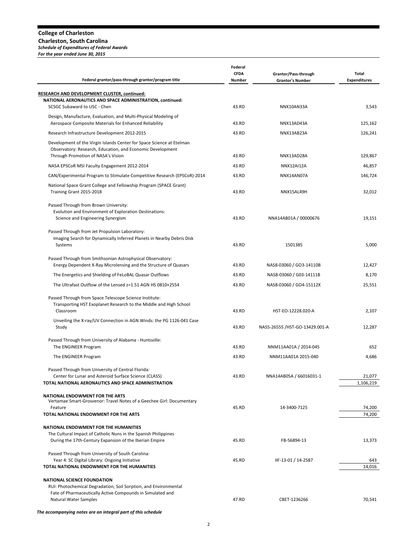**Charleston, South Carolina**

*Schedule of Expenditures of Federal Awards*

*For the year ended June 30, 2015*

| Federal grantor/pass-through grantor/program title                                                                                                                                                   | Federal<br><b>CFDA</b><br>Number | Grantor/Pass-through<br><b>Grantor's Number</b> | Total<br><b>Expenditures</b> |  |
|------------------------------------------------------------------------------------------------------------------------------------------------------------------------------------------------------|----------------------------------|-------------------------------------------------|------------------------------|--|
| RESEARCH AND DEVELOPMENT CLUSTER, continued:                                                                                                                                                         |                                  |                                                 |                              |  |
| NATIONAL AERONAUTICS AND SPACE ADMINISTRATION, continued:<br>SCSGC Subaward to USC - Chen                                                                                                            | 43.RD                            | NNX10AN33A                                      | 3,543                        |  |
| Design, Manufacture, Evaluation, and Multi-Physical Modeling of<br>Aerospace Composite Materials for Enhanced Reliability                                                                            | 43.RD                            | NNX13AD43A                                      | 125,162                      |  |
| Research Infrastructure Development 2012-2015                                                                                                                                                        | 43.RD                            | NNX13AB23A                                      | 126,241                      |  |
| Development of the Virgin Islands Center for Space Science at Etelman<br>Observatory: Research, Education, and Economic Development<br>Through Promotion of NASA's Vision                            | 43.RD                            | NNX13AD28A                                      | 129,867                      |  |
| NASA EPSCoR MSI Faculty Engagement 2012-2014                                                                                                                                                         | 43.RD                            | <b>NNX12AI12A</b>                               | 46,857                       |  |
| CAN/Experimental Program to Stimulate Competitive Research (EPSCoR)-2014                                                                                                                             | 43.RD                            | NNX14AN07A                                      | 146,724                      |  |
| National Space Grant College and Fellowship Program (SPACE Grant)<br>Training Grant 2015-2018                                                                                                        | 43.RD                            | NNX15AL49H                                      | 32,012                       |  |
| Passed Through from Brown University:<br>Evolution and Environment of Exploration Destinations:<br>Science and Engineering Synergism                                                                 | 43.RD                            | NNA14AB01A / 00000676                           | 19,151                       |  |
| Passed Through from Jet Propulsion Laboratory:<br>Imaging Search for Dynamically Inferred Planets in Nearby Debris Disk<br>Systems                                                                   | 43.RD                            | 1501385                                         | 5,000                        |  |
| Passed Through from Smithsonian Astrophysical Observatory:<br>Energy Dependent X-Ray Microlensing and the Structure of Quasars                                                                       | 43.RD                            | NAS8-03060 / GO3-14110B                         | 12,427                       |  |
| The Energetics and Shielding of FeLoBAL Quasar Outflows                                                                                                                                              | 43.RD                            | NAS8-03060 / G03-14111B                         | 8,170                        |  |
| The Ultrafast Outflow of the Lensed z=1.51 AGN HS 0810+2554                                                                                                                                          | 43.RD                            | NAS8-03060 / GO4-15112X                         | 25,551                       |  |
| Passed Through from Space Telescope Science Institute:<br>Transporting HST Exoplanet Research to the Middle and High School<br>Classroom                                                             | 43.RD                            | HST-EO-12228.020-A                              | 2,107                        |  |
| Unveiling the X-ray/UV Connection in AGN Winds: the PG 1126-041 Case<br>Study                                                                                                                        | 43.RD                            | NAS5-26555 /HST-GO-13429.001-A                  | 12,287                       |  |
| Passed Through from University of Alabama - Huntsville:<br>The ENGINEER Program                                                                                                                      | 43.RD                            | NNM11AA01A / 2014-045                           | 652                          |  |
| The ENGINEER Program                                                                                                                                                                                 | 43.RD                            | NNM11AA01A 2015-040                             | 4,686                        |  |
| Passed Through from University of Central Florida:<br>Center for Lunar and Asteroid Surface Science (CLASS)<br>TOTAL NATIONAL AERONAUTICS AND SPACE ADMINISTRATION                                   | 43.RD                            | NNA14AB05A / 66016031-1                         | 21,077<br>1,106,219          |  |
| NATIONAL ENDOWMENT FOR THE ARTS<br>Vertamae Smart-Grosvenor: Travel Notes of a Geechee Girl: Documentary<br>Feature<br>TOTAL NATIONAL ENDOWMENT FOR THE ARTS                                         | 45.RD                            | 14-3400-7125                                    | 74,200<br>74,200             |  |
| NATIONAL ENDOWMENT FOR THE HUMANITIES<br>The Cultural Impact of Catholic Nuns in the Spanish Philippines<br>During the 17th-Century Expansion of the Iberian Empire                                  | 45.RD                            | FB-56894-13                                     | 13,373                       |  |
| Passed Through from University of South Carolina:<br>Year 4: SC Digital Library: Ongoing Initiative<br>TOTAL NATIONAL ENDOWMENT FOR THE HUMANITIES                                                   | 45.RD                            | IIF-13-01 / 14-2587                             | 643<br>14,016                |  |
| <b>NATIONAL SCIENCE FOUNDATION</b><br>RUI: Photochemical Degradation, Soil Sorption, and Environmental<br>Fate of Pharmaceutically Active Compounds in Simulated and<br><b>Natural Water Samples</b> | 47.RD                            | CBET-1236266                                    | 70,541                       |  |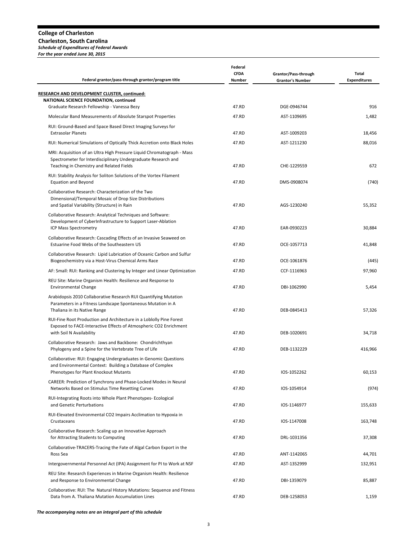**Charleston, South Carolina**

*Schedule of Expenditures of Federal Awards*

*For the year ended June 30, 2015*

| Federal grantor/pass-through grantor/program title                                                                                                                                  | Federal<br><b>CFDA</b><br>Number | Grantor/Pass-through<br><b>Grantor's Number</b> | <b>Total</b><br><b>Expenditures</b> |
|-------------------------------------------------------------------------------------------------------------------------------------------------------------------------------------|----------------------------------|-------------------------------------------------|-------------------------------------|
| RESEARCH AND DEVELOPMENT CLUSTER, continued:<br>NATIONAL SCIENCE FOUNDATION, continued                                                                                              |                                  |                                                 |                                     |
| Graduate Research Fellowship - Vanessa Bezy                                                                                                                                         | 47.RD                            | DGE-0946744                                     | 916                                 |
| Molecular Band Measurements of Absolute Starspot Properties                                                                                                                         | 47.RD                            | AST-1109695                                     | 1,482                               |
| RUI: Ground-Based and Space Based Direct Imaging Surveys for<br><b>Extrasolar Planets</b>                                                                                           | 47.RD                            | AST-1009203                                     | 18,456                              |
| RUI: Numerical Simulations of Optically Thick Accretion onto Black Holes                                                                                                            | 47.RD                            | AST-1211230                                     | 88,016                              |
| MRI: Acquisition of an Ultra High Pressure Liquid Chromatograph - Mass<br>Spectrometer for Interdisciplinary Undergraduate Research and<br>Teaching in Chemistry and Related Fields | 47.RD                            | CHE-1229559                                     | 672                                 |
| RUI: Stability Analysis for Soliton Solutions of the Vortex Filament<br>Equation and Beyond                                                                                         | 47.RD                            | DMS-0908074                                     | (740)                               |
| Collaborative Research: Characterization of the Two<br>Dimensional/Temporal Mosaic of Drop Size Distributions<br>and Spatial Variability (Structure) in Rain                        | 47.RD                            | AGS-1230240                                     | 55,352                              |
| Collaborative Research: Analytical Techniques and Software:<br>Development of CyberInfrastructure to Support Laser-Ablation<br>ICP Mass Spectrometry                                | 47.RD                            | EAR-0930223                                     | 30,884                              |
| Collaborative Research: Cascading Effects of an Invasive Seaweed on<br>Estuarine Food Webs of the Southeastern US                                                                   | 47.RD                            | OCE-1057713                                     | 41,848                              |
| Collaborative Research: Lipid Lubrication of Oceanic Carbon and Sulfur<br>Biogeochemistry via a Host-Virus Chemical Arms Race                                                       | 47.RD                            | OCE-1061876                                     | (445)                               |
| AF: Small: RUI: Ranking and Clustering by Integer and Linear Optimization                                                                                                           | 47.RD                            | CCF-1116963                                     | 97,960                              |
| REU Site: Marine Organism Health: Resilience and Response to<br><b>Environmental Change</b>                                                                                         | 47.RD                            | DBI-1062990                                     | 5,454                               |
| Arabidopsis 2010 Collaborative Research RUI Quantifying Mutation<br>Parameters in a Fitness Landscape Spontaneous Mutation in A<br>Thaliana in its Native Range                     | 47.RD                            | DEB-0845413                                     | 57,326                              |
| RUI-Fine Root Production and Architecture in a Loblolly Pine Forest<br>Exposed to FACE-Interactive Effects of Atmospheric CO2 Enrichment<br>with Soil N Availability                | 47.RD                            | DEB-1020691                                     | 34,718                              |
| Collaborative Research: Jaws and Backbone: Chondrichthyan<br>Phylogeny and a Spine for the Vertebrate Tree of Life                                                                  | 47.RD                            | DEB-1132229                                     | 416,966                             |
| Collaborative: RUI: Engaging Undergraduates in Genomic Questions<br>and Environmental Context: Building a Database of Complex<br>Phenotypes for Plant Knockout Mutants              | 47.RD                            | IOS-1052262                                     | 60,153                              |
| CAREER: Prediction of Synchrony and Phase-Locked Modes in Neural<br>Networks Based on Stimulus Time Resetting Curves                                                                | 47.RD                            | IOS-1054914                                     | (974)                               |
| RUI-Integrating Roots into Whole Plant Phenotypes- Ecological<br>and Genetic Perturbations                                                                                          | 47.RD                            | IOS-1146977                                     | 155,633                             |
| RUI-Elevated Environmental CO2 Impairs Acclimation to Hypoxia in<br>Crustaceans                                                                                                     | 47.RD                            | IOS-1147008                                     | 163,748                             |
| Collaborative Research: Scaling up an Innovative Approach<br>for Attracting Students to Computing                                                                                   | 47.RD                            | DRL-1031356                                     | 37,308                              |
| Collaborative-TRACERS-Tracing the Fate of Algal Carbon Export in the<br>Ross Sea                                                                                                    | 47.RD                            | ANT-1142065                                     | 44,701                              |
| Intergovernmental Personnel Act (IPA) Assignment for PI to Work at NSF                                                                                                              | 47.RD                            | AST-1352999                                     | 132,951                             |
| REU Site: Research Experiences in Marine Organism Health: Resilience<br>and Response to Environmental Change                                                                        | 47.RD                            | DBI-1359079                                     | 85,887                              |
| Collaborative: RUI: The Natural History Mutations: Sequence and Fitness<br>Data from A. Thaliana Mutation Accumulation Lines                                                        | 47.RD                            | DEB-1258053                                     | 1,159                               |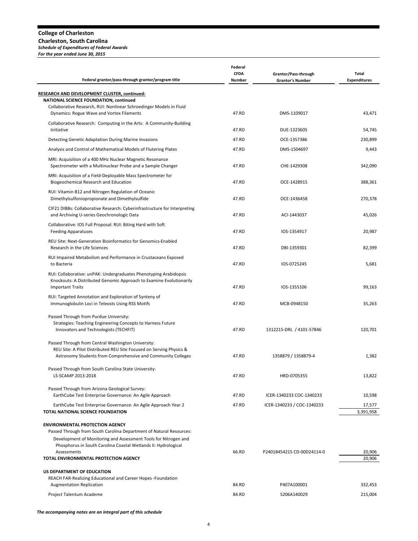**Charleston, South Carolina**

*Schedule of Expenditures of Federal Awards*

*For the year ended June 30, 2015*

| Federal grantor/pass-through grantor/program title                                                                                                                                                                                                                | Federal<br><b>CFDA</b><br><b>Number</b> | Grantor/Pass-through<br><b>Grantor's Number</b> | Total<br><b>Expenditures</b> |  |
|-------------------------------------------------------------------------------------------------------------------------------------------------------------------------------------------------------------------------------------------------------------------|-----------------------------------------|-------------------------------------------------|------------------------------|--|
| RESEARCH AND DEVELOPMENT CLUSTER, continued:                                                                                                                                                                                                                      |                                         |                                                 |                              |  |
| NATIONAL SCIENCE FOUNDATION, continued<br>Collaborative Research, RUI: Nonlinear Schroedinger Models in Fluid<br>Dynamics: Rogue Wave and Vortex Filaments                                                                                                        | 47.RD                                   | DMS-1109017                                     | 43,471                       |  |
| Collaborative Research: Computing in the Arts: A Community-Building<br>Initiative                                                                                                                                                                                 | 47.RD                                   | DUE-1323605                                     | 54,745                       |  |
| Detecting Genetic Adaptation During Marine Invasions                                                                                                                                                                                                              | 47.RD                                   | OCE-1357386                                     | 230,899                      |  |
| Analysis and Control of Mathematical Models of Flutering Plates                                                                                                                                                                                                   | 47.RD                                   | DMS-1504697                                     | 9,443                        |  |
| MRI: Acquisition of a 400 MHz Nuclear Magnetic Resonance<br>Spectrometer with a Multinuclear Probe and a Sample Changer                                                                                                                                           | 47.RD                                   | CHE-1429308                                     | 342,090                      |  |
| MRI: Acquisition of a Field-Deployable Mass Spectrometer for<br>Biogeochemical Research and Education                                                                                                                                                             | 47.RD                                   | OCE-1428915                                     | 388,361                      |  |
| RUI: Vitamin B12 and Nitrogen Regulation of Oceanic<br>Dimethylsulfoniopropionate and Dimethylsulfide                                                                                                                                                             | 47.RD                                   | OCE-1436458                                     | 270,378                      |  |
| CIF21 DIBBs: Collaborative Research: Cyberinfrastructure for Interpreting<br>and Archiving U-series Geochronologic Data                                                                                                                                           | 47.RD                                   | ACI-1443037                                     | 45.026                       |  |
| Collaborative: IOS Full Proposal: RUI: Biting Hard with Soft<br><b>Feeding Apparatuses</b>                                                                                                                                                                        | 47.RD                                   | IOS-1354917                                     | 20,987                       |  |
| REU Site: Next-Generation Bioinformatics for Genomics-Enabled<br>Research in the Life Sciences                                                                                                                                                                    | 47.RD                                   | DBI-1359301                                     | 82,399                       |  |
| RUI Impaired Metabolism and Performance in Crustaceans Exposed<br>to Bacteria                                                                                                                                                                                     | 47.RD                                   | IOS-0725245                                     | 5,681                        |  |
| RUI: Collaborative: unPAK: Undergraduates Phenotyping Arabidopsis<br>Knockouts: A Distributed Genomic Approach to Examine Evolutionarily<br><b>Important Traits</b>                                                                                               | 47.RD                                   | IOS-1355106                                     | 99,163                       |  |
| RUI: Targeted Annotation and Exploration of Synteny of<br>Immunoglobulin Loci in Teleosts Using RSS Motifs                                                                                                                                                        | 47.RD                                   | MCB-0948150                                     | 35,263                       |  |
| Passed Through from Purdue University:<br>Strategies: Teaching Engineering Concepts to Harness Future<br>Innovators and Technologists (TECHFIT)                                                                                                                   | 47.RD                                   | 1312215-DRL / 4101-57846                        | 120,701                      |  |
| Passed Through from Central Washington University:<br>REU Site: A Pilot Distributed REU Site Focused on Serving Physics &<br>Astronomy Students from Comprehensive and Community Colleges                                                                         | 47.RD                                   | 1358879 / 1358879-4                             | 1,382                        |  |
| Passed Through from South Carolina State University:<br>LS-SCAMP 2013-2018                                                                                                                                                                                        | 47.RD                                   | HRD-0705355                                     | 13,822                       |  |
| Passed Through from Arizona Geological Survey:<br>EarthCube Test Enterprise Governance: An Agile Approach                                                                                                                                                         | 47.RD                                   | ICER-1340233 COC-1340233                        | 10,598                       |  |
| EarthCube Test Enterprise Governance: An Agile Approach Year 2<br>TOTAL NATIONAL SCIENCE FOUNDATION                                                                                                                                                               | 47.RD                                   | ICER-1340233 / COC-1340233                      | 17,577<br>3,391,958          |  |
| <b>ENVIRONMENTAL PROTECTION AGENCY</b><br>Passed Through from South Carolina Department of Natural Resources:<br>Development of Monitoring and Assessment Tools for Nitrogen and<br>Phosphorus in South Carolina Coastal Wetlands II: Hydrological<br>Assessments | 66.RD                                   | P24018454215 CD-00D24114-0                      | 20,906                       |  |
| TOTAL ENVIRONMENTAL PROTECTION AGENCY                                                                                                                                                                                                                             |                                         |                                                 | 20,906                       |  |
| US DEPARTMENT OF EDUCATION<br>REACH FAR-Realizing Educational and Career Hopes -Foundation                                                                                                                                                                        |                                         |                                                 |                              |  |
| <b>Augmentation Replication</b>                                                                                                                                                                                                                                   | 84.RD                                   | P407A100001                                     | 332,453                      |  |
| Project Talentum Academe                                                                                                                                                                                                                                          | 84.RD                                   | S206A140029                                     | 215,004                      |  |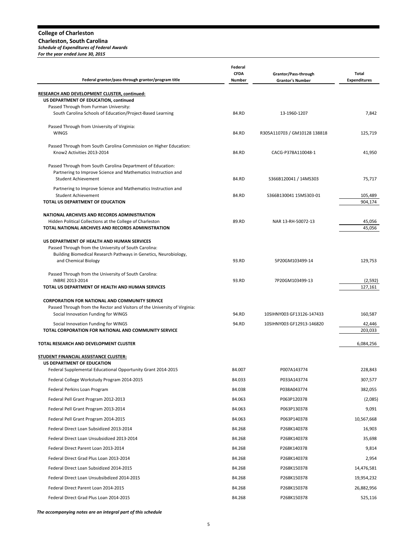**Charleston, South Carolina**

*Schedule of Expenditures of Federal Awards*

*For the year ended June 30, 2015*

| Federal grantor/pass-through grantor/program title                                                                                                                      | Federal<br><b>CFDA</b><br>Number | Grantor/Pass-through<br><b>Grantor's Number</b> | Total<br><b>Expenditures</b> |
|-------------------------------------------------------------------------------------------------------------------------------------------------------------------------|----------------------------------|-------------------------------------------------|------------------------------|
| <b>RESEARCH AND DEVELOPMENT CLUSTER, continued:</b>                                                                                                                     |                                  |                                                 |                              |
| US DEPARTMENT OF EDUCATION, continued                                                                                                                                   |                                  |                                                 |                              |
| Passed Through from Furman University:<br>South Carolina Schools of Education/Project-Based Learning                                                                    | 84.RD                            | 13-1960-1207                                    | 7,842                        |
|                                                                                                                                                                         |                                  |                                                 |                              |
| Passed Through from University of Virginia:<br><b>WINGS</b>                                                                                                             | 84.RD                            | R305A110703 / GM10128 138818                    | 125,719                      |
|                                                                                                                                                                         |                                  |                                                 |                              |
| Passed Through from South Carolina Commission on Higher Education:<br>Know2 Activities 2013-2014                                                                        | 84.RD                            | CACG-P378A110048-1                              | 41,950                       |
| Passed Through from South Carolina Department of Education:<br>Partnering to Improve Science and Mathematics Instruction and<br><b>Student Achievement</b>              | 84.RD                            | S366B120041 / 14MS303                           | 75,717                       |
| Partnering to Improve Science and Mathematics Instruction and<br><b>Student Achievement</b>                                                                             | 84.RD                            | S366B130041 15MS303-01                          | 105,489                      |
| TOTAL US DEPARTMENT OF EDUCATION                                                                                                                                        |                                  |                                                 | 904,174                      |
| NATIONAL ARCHIVES AND RECORDS ADMINISTRATION                                                                                                                            |                                  |                                                 |                              |
| Hidden Political Collections at the College of Charleston<br>TOTAL NATIONAL ARCHIVES AND RECORDS ADMINISTRATION                                                         | 89.RD                            | NAR 13-RH-50072-13                              | 45,056<br>45,056             |
| US DEPARTMENT OF HEALTH AND HUMAN SERVICES<br>Passed Through from the University of South Carolina:<br>Building Biomedical Research Pathways in Genetics, Neurobiology, |                                  |                                                 |                              |
| and Chemical Biology                                                                                                                                                    | 93.RD                            | 5P20GM103499-14                                 | 129,753                      |
| Passed Through from the University of South Carolina:<br>INBRE 2013-2014<br>TOTAL US DEPARTMENT OF HEALTH AND HUMAN SERVICES                                            | 93.RD                            | 7P20GM103499-13                                 | (2,592)<br>127,161           |
| <b>CORPORATION FOR NATIONAL AND COMMUNITY SERVICE</b><br>Passed Through from the Rector and Visitors of the University of Virginia:                                     |                                  |                                                 |                              |
| Social Innovation Funding for WINGS                                                                                                                                     | 94.RD                            | 10SIHNY003 GF13126-147433                       | 160,587                      |
| Social Innovation Funding for WINGS<br>TOTAL CORPORATION FOR NATIONAL AND COMMUNITY SERVICE                                                                             | 94.RD                            | 10SIHNY003 GF12913-146820                       | 42,446<br>203,033            |
| TOTAL RESEARCH AND DEVELOPMENT CLUSTER                                                                                                                                  |                                  |                                                 | 6,084,256                    |
| STUDENT FINANCIAL ASSISTANCE CLUSTER:                                                                                                                                   |                                  |                                                 |                              |
| US DEPARTMENT OF EDUCATION<br>Federal Supplemental Educational Opportunity Grant 2014-2015                                                                              | 84.007                           | P007A143774                                     | 228,843                      |
| Federal College Workstudy Program 2014-2015                                                                                                                             | 84.033                           | P033A143774                                     | 307,577                      |
| Federal Perkins Loan Program                                                                                                                                            | 84.038                           | P038A043774                                     | 382,055                      |
| Federal Pell Grant Program 2012-2013                                                                                                                                    | 84.063                           | P063P120378                                     | (2,085)                      |
| Federal Pell Grant Program 2013-2014                                                                                                                                    | 84.063                           | P063P130378                                     | 9,091                        |
| Federal Pell Grant Program 2014-2015                                                                                                                                    | 84.063                           | P063P140378                                     | 10,567,668                   |
| Federal Direct Loan Subsidized 2013-2014                                                                                                                                | 84.268                           | P268K140378                                     | 16,903                       |
| Federal Direct Loan Unsubsidized 2013-2014                                                                                                                              | 84.268                           | P268K140378                                     | 35,698                       |
| Federal Direct Parent Loan 2013-2014                                                                                                                                    | 84.268                           | P268K140378                                     | 9,814                        |
| Federal Direct Grad Plus Loan 2013-2014                                                                                                                                 | 84.268                           | P268K140378                                     | 2,954                        |
| Federal Direct Loan Subsidized 2014-2015                                                                                                                                | 84.268                           | P268K150378                                     | 14,476,581                   |
| Federal Direct Loan Unsubsibdized 2014-2015                                                                                                                             | 84.268                           | P268K150378                                     | 19,954,232                   |
| Federal Direct Parent Loan 2014-2015                                                                                                                                    | 84.268                           | P268K150378                                     | 26,882,956                   |
| Federal Direct Grad Plus Loan 2014-2015                                                                                                                                 | 84.268                           | P268K150378                                     | 525,116                      |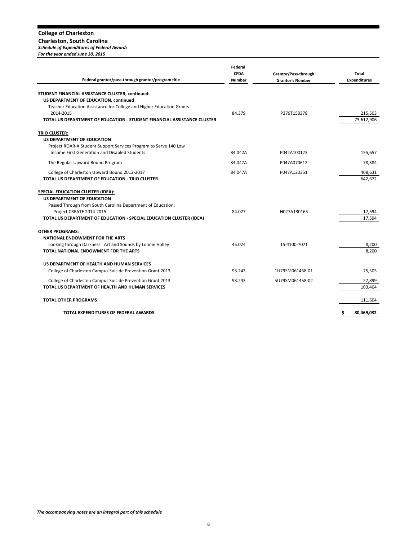**Charleston, South Carolina**

*Schedule of Expenditures of Federal Awards*

*For the year ended June 30, 2015*

| Federal grantor/pass-through grantor/program title                      | Federal<br><b>CFDA</b><br>Number | Grantor/Pass-through<br><b>Grantor's Number</b> | <b>Total</b><br><b>Expenditures</b> |
|-------------------------------------------------------------------------|----------------------------------|-------------------------------------------------|-------------------------------------|
| STUDENT FINANCIAL ASSISTANCE CLUSTER, continued:                        |                                  |                                                 |                                     |
| US DEPARTMENT OF EDUCATION, continued                                   |                                  |                                                 |                                     |
| Teacher Education Assistance for College and Higher Education Grants    |                                  |                                                 |                                     |
| 2014-2015                                                               | 84.379                           | P379T150378                                     | 215.503                             |
| TOTAL US DEPARTMENT OF EDUCATION - STUDENT FINANCIAL ASSISTANCE CLUSTER |                                  |                                                 | 73,612,906                          |
| TRIO CLUSTER:                                                           |                                  |                                                 |                                     |
| US DEPARTMENT OF EDUCATION                                              |                                  |                                                 |                                     |
| Project ROAR-A Student Support Services Program to Serve 140 Low        |                                  |                                                 |                                     |
| Income First Generation and Disabled Students                           | 84.042A                          | P042A100123                                     | 155,657                             |
| The Regular Upward Bound Program                                        | 84.047A                          | P047A070612                                     | 78,384                              |
| College of Charleston Upward Bound 2012-2017                            | 84.047A                          | P047A120351                                     | 408,631                             |
| TOTAL US DEPARTMENT OF EDUCATION - TRIO CLUSTER                         |                                  |                                                 | 642,672                             |
| SPECIAL EDUCATION CLUSTER (IDEA):                                       |                                  |                                                 |                                     |
| US DEPARTMENT OF EDUCATION                                              |                                  |                                                 |                                     |
| Passed Through from South Carolina Department of Education:             |                                  |                                                 |                                     |
| Project CREATE 2014-2015                                                | 84.027                           | H027A130165                                     | 17,594                              |
| TOTAL US DEPARTMENT OF EDUCATION - SPECIAL EDUCATION CLUSTER (IDEA)     |                                  |                                                 | 17,594                              |
| <b>OTHER PROGRAMS:</b>                                                  |                                  |                                                 |                                     |
| NATIONAL ENDOWMENT FOR THE ARTS                                         |                                  |                                                 |                                     |
| Looking through Darkness: Art and Sounds by Lonnie Holley               | 45.024                           | 15-4100-7071                                    | 8,200                               |
| TOTAL NATIONAL ENDOWMENT FOR THE ARTS                                   |                                  |                                                 | 8,200                               |
| US DEPARTMENT OF HEALTH AND HUMAN SERVICES                              |                                  |                                                 |                                     |
| College of Charleston Campus Suicide Prevention Grant 2013              | 93.243                           | 1U79SM061458-01                                 | 75,505                              |
| College of Charleston Campus Suicide Prevention Grant 2013              | 93.243                           | 5U79SM061458-02                                 | 27,899                              |
| TOTAL US DEPARTMENT OF HEALTH AND HUMAN SERVICES                        |                                  |                                                 | 103,404                             |
| <b>TOTAL OTHER PROGRAMS</b>                                             |                                  |                                                 | 111,604                             |
| TOTAL EXPENDITURES OF FEDERAL AWARDS                                    |                                  |                                                 | \$.<br>80,469,032                   |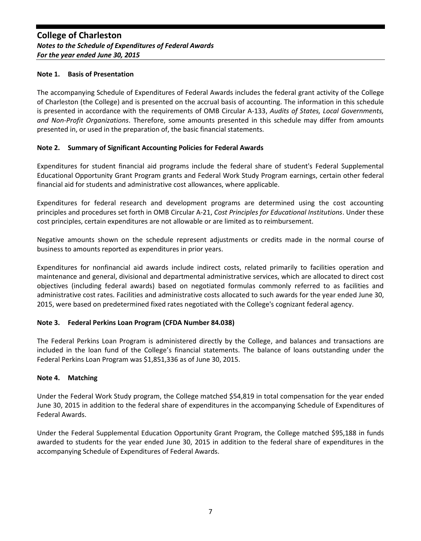# **College of Charleston** *Notes to the Schedule of Expenditures of Federal Awards For the year ended June 30, 2015*

## **Note 1. Basis of Presentation**

The accompanying Schedule of Expenditures of Federal Awards includes the federal grant activity of the College of Charleston (the College) and is presented on the accrual basis of accounting. The information in this schedule is presented in accordance with the requirements of OMB Circular A-133, *Audits of States, Local Governments, and Non-Profit Organizations*. Therefore, some amounts presented in this schedule may differ from amounts presented in, or used in the preparation of, the basic financial statements.

## **Note 2. Summary of Significant Accounting Policies for Federal Awards**

Expenditures for student financial aid programs include the federal share of student's Federal Supplemental Educational Opportunity Grant Program grants and Federal Work Study Program earnings, certain other federal financial aid for students and administrative cost allowances, where applicable.

Expenditures for federal research and development programs are determined using the cost accounting principles and procedures set forth in OMB Circular A-21, *Cost Principles for Educational Institutions*. Under these cost principles, certain expenditures are not allowable or are limited as to reimbursement.

Negative amounts shown on the schedule represent adjustments or credits made in the normal course of business to amounts reported as expenditures in prior years.

Expenditures for nonfinancial aid awards include indirect costs, related primarily to facilities operation and maintenance and general, divisional and departmental administrative services, which are allocated to direct cost objectives (including federal awards) based on negotiated formulas commonly referred to as facilities and administrative cost rates. Facilities and administrative costs allocated to such awards for the year ended June 30, 2015, were based on predetermined fixed rates negotiated with the College's cognizant federal agency.

#### **Note 3. Federal Perkins Loan Program (CFDA Number 84.038)**

The Federal Perkins Loan Program is administered directly by the College, and balances and transactions are included in the loan fund of the College's financial statements. The balance of loans outstanding under the Federal Perkins Loan Program was \$1,851,336 as of June 30, 2015.

#### **Note 4. Matching**

Under the Federal Work Study program, the College matched \$54,819 in total compensation for the year ended June 30, 2015 in addition to the federal share of expenditures in the accompanying Schedule of Expenditures of Federal Awards.

Under the Federal Supplemental Education Opportunity Grant Program, the College matched \$95,188 in funds awarded to students for the year ended June 30, 2015 in addition to the federal share of expenditures in the accompanying Schedule of Expenditures of Federal Awards.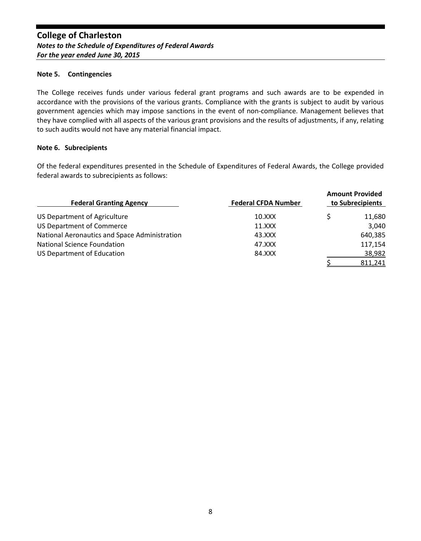## **College of Charleston** *Notes to the Schedule of Expenditures of Federal Awards For the year ended June 30, 2015*

#### **Note 5. Contingencies**

The College receives funds under various federal grant programs and such awards are to be expended in accordance with the provisions of the various grants. Compliance with the grants is subject to audit by various government agencies which may impose sanctions in the event of non-compliance. Management believes that they have complied with all aspects of the various grant provisions and the results of adjustments, if any, relating to such audits would not have any material financial impact.

#### **Note 6. Subrecipients**

Of the federal expenditures presented in the Schedule of Expenditures of Federal Awards, the College provided federal awards to subrecipients as follows:

| <b>Federal Granting Agency</b>                | <b>Federal CFDA Number</b> | <b>Amount Provided</b><br>to Subrecipients |         |  |
|-----------------------------------------------|----------------------------|--------------------------------------------|---------|--|
| US Department of Agriculture                  | 10.XXX                     | S                                          | 11,680  |  |
| <b>US Department of Commerce</b>              | 11.XXX                     |                                            | 3,040   |  |
| National Aeronautics and Space Administration | 43.XXX                     |                                            | 640,385 |  |
| <b>National Science Foundation</b>            | 47.XXX                     |                                            | 117,154 |  |
| US Department of Education                    | 84.XXX                     |                                            | 38,982  |  |
|                                               |                            |                                            | 811,241 |  |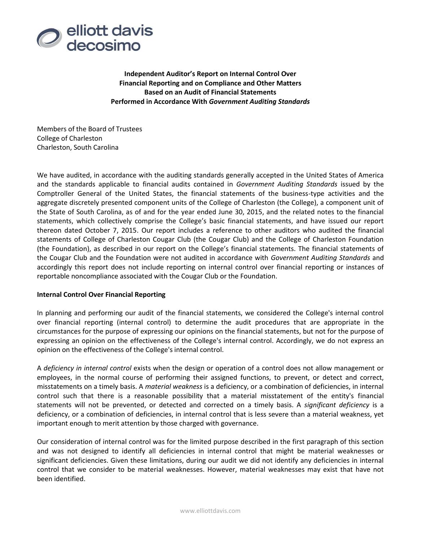

**Independent Auditor's Report on Internal Control Over Financial Reporting and on Compliance and Other Matters Based on an Audit of Financial Statements Performed in Accordance With** *Government Auditing Standards* 

Members of the Board of Trustees College of Charleston Charleston, South Carolina

We have audited, in accordance with the auditing standards generally accepted in the United States of America and the standards applicable to financial audits contained in *Government Auditing Standards* issued by the Comptroller General of the United States, the financial statements of the business-type activities and the aggregate discretely presented component units of the College of Charleston (the College), a component unit of the State of South Carolina, as of and for the year ended June 30, 2015, and the related notes to the financial statements, which collectively comprise the College's basic financial statements, and have issued our report thereon dated October 7, 2015. Our report includes a reference to other auditors who audited the financial statements of College of Charleston Cougar Club (the Cougar Club) and the College of Charleston Foundation (the Foundation), as described in our report on the College's financial statements. The financial statements of the Cougar Club and the Foundation were not audited in accordance with *Government Auditing Standards* and accordingly this report does not include reporting on internal control over financial reporting or instances of reportable noncompliance associated with the Cougar Club or the Foundation.

#### **Internal Control Over Financial Reporting**

In planning and performing our audit of the financial statements, we considered the College's internal control over financial reporting (internal control) to determine the audit procedures that are appropriate in the circumstances for the purpose of expressing our opinions on the financial statements, but not for the purpose of expressing an opinion on the effectiveness of the College's internal control. Accordingly, we do not express an opinion on the effectiveness of the College's internal control.

A *deficiency in internal control* exists when the design or operation of a control does not allow management or employees, in the normal course of performing their assigned functions, to prevent, or detect and correct, misstatements on a timely basis. A *material weakness* is a deficiency, or a combination of deficiencies, in internal control such that there is a reasonable possibility that a material misstatement of the entity's financial statements will not be prevented, or detected and corrected on a timely basis. A *significant deficiency* is a deficiency, or a combination of deficiencies, in internal control that is less severe than a material weakness, yet important enough to merit attention by those charged with governance.

Our consideration of internal control was for the limited purpose described in the first paragraph of this section and was not designed to identify all deficiencies in internal control that might be material weaknesses or significant deficiencies. Given these limitations, during our audit we did not identify any deficiencies in internal control that we consider to be material weaknesses. However, material weaknesses may exist that have not been identified.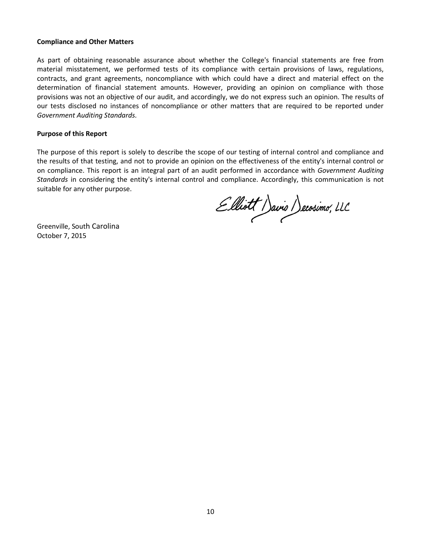#### **Compliance and Other Matters**

As part of obtaining reasonable assurance about whether the College's financial statements are free from material misstatement, we performed tests of its compliance with certain provisions of laws, regulations, contracts, and grant agreements, noncompliance with which could have a direct and material effect on the determination of financial statement amounts. However, providing an opinion on compliance with those provisions was not an objective of our audit, and accordingly, we do not express such an opinion. The results of our tests disclosed no instances of noncompliance or other matters that are required to be reported under *Government Auditing Standards.*

#### **Purpose of this Report**

The purpose of this report is solely to describe the scope of our testing of internal control and compliance and the results of that testing, and not to provide an opinion on the effectiveness of the entity's internal control or on compliance. This report is an integral part of an audit performed in accordance with *Government Auditing Standards* in considering the entity's internal control and compliance. Accordingly, this communication is not suitable for any other purpose.

Elliott Davis Decosimo, LLC

Greenville, South Carolina October 7, 2015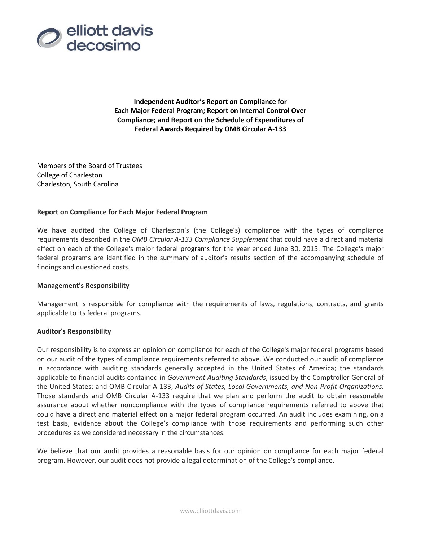

**Independent Auditor's Report on Compliance for Each Major Federal Program; Report on Internal Control Over Compliance; and Report on the Schedule of Expenditures of Federal Awards Required by OMB Circular A-133** 

Members of the Board of Trustees College of Charleston Charleston, South Carolina

#### **Report on Compliance for Each Major Federal Program**

We have audited the College of Charleston's (the College's) compliance with the types of compliance requirements described in the *OMB Circular A-133 Compliance Supplement* that could have a direct and material effect on each of the College's major federal programs for the year ended June 30, 2015. The College's major federal programs are identified in the summary of auditor's results section of the accompanying schedule of findings and questioned costs.

#### **Management's Responsibility**

Management is responsible for compliance with the requirements of laws, regulations, contracts, and grants applicable to its federal programs.

#### **Auditor's Responsibility**

Our responsibility is to express an opinion on compliance for each of the College's major federal programs based on our audit of the types of compliance requirements referred to above. We conducted our audit of compliance in accordance with auditing standards generally accepted in the United States of America; the standards applicable to financial audits contained in *Government Auditing Standards*, issued by the Comptroller General of the United States; and OMB Circular A-133, *Audits of States, Local Governments, and Non-Profit Organizations.* Those standards and OMB Circular A-133 require that we plan and perform the audit to obtain reasonable assurance about whether noncompliance with the types of compliance requirements referred to above that could have a direct and material effect on a major federal program occurred. An audit includes examining, on a test basis, evidence about the College's compliance with those requirements and performing such other procedures as we considered necessary in the circumstances.

We believe that our audit provides a reasonable basis for our opinion on compliance for each major federal program. However, our audit does not provide a legal determination of the College's compliance.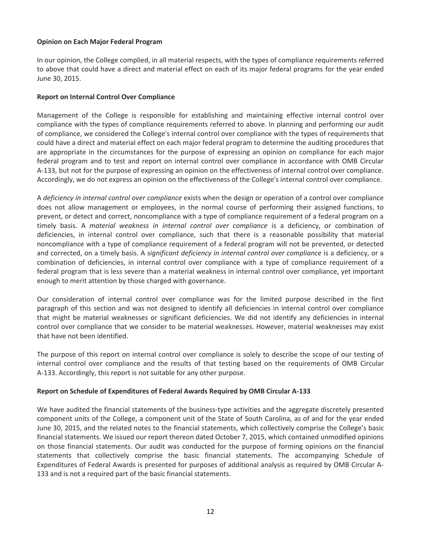## **Opinion on Each Major Federal Program**

In our opinion, the College complied, in all material respects, with the types of compliance requirements referred to above that could have a direct and material effect on each of its major federal programs for the year ended June 30, 2015.

## **Report on Internal Control Over Compliance**

Management of the College is responsible for establishing and maintaining effective internal control over compliance with the types of compliance requirements referred to above. In planning and performing our audit of compliance, we considered the College's internal control over compliance with the types of requirements that could have a direct and material effect on each major federal program to determine the auditing procedures that are appropriate in the circumstances for the purpose of expressing an opinion on compliance for each major federal program and to test and report on internal control over compliance in accordance with OMB Circular A-133, but not for the purpose of expressing an opinion on the effectiveness of internal control over compliance. Accordingly, we do not express an opinion on the effectiveness of the College's internal control over compliance.

A *deficiency in internal control over compliance* exists when the design or operation of a control over compliance does not allow management or employees, in the normal course of performing their assigned functions, to prevent, or detect and correct, noncompliance with a type of compliance requirement of a federal program on a timely basis. A *material weakness in internal control over compliance* is a deficiency, or combination of deficiencies, in internal control over compliance, such that there is a reasonable possibility that material noncompliance with a type of compliance requirement of a federal program will not be prevented, or detected and corrected, on a timely basis. A *significant deficiency in internal control over compliance* is a deficiency, or a combination of deficiencies, in internal control over compliance with a type of compliance requirement of a federal program that is less severe than a material weakness in internal control over compliance, yet important enough to merit attention by those charged with governance.

Our consideration of internal control over compliance was for the limited purpose described in the first paragraph of this section and was not designed to identify all deficiencies in internal control over compliance that might be material weaknesses or significant deficiencies. We did not identify any deficiencies in internal control over compliance that we consider to be material weaknesses. However, material weaknesses may exist that have not been identified.

The purpose of this report on internal control over compliance is solely to describe the scope of our testing of internal control over compliance and the results of that testing based on the requirements of OMB Circular A-133. Accordingly, this report is not suitable for any other purpose.

## **Report on Schedule of Expenditures of Federal Awards Required by OMB Circular A-133**

We have audited the financial statements of the business-type activities and the aggregate discretely presented component units of the College, a component unit of the State of South Carolina, as of and for the year ended June 30, 2015, and the related notes to the financial statements, which collectively comprise the College's basic financial statements. We issued our report thereon dated October 7, 2015, which contained unmodified opinions on those financial statements. Our audit was conducted for the purpose of forming opinions on the financial statements that collectively comprise the basic financial statements. The accompanying Schedule of Expenditures of Federal Awards is presented for purposes of additional analysis as required by OMB Circular A-133 and is not a required part of the basic financial statements.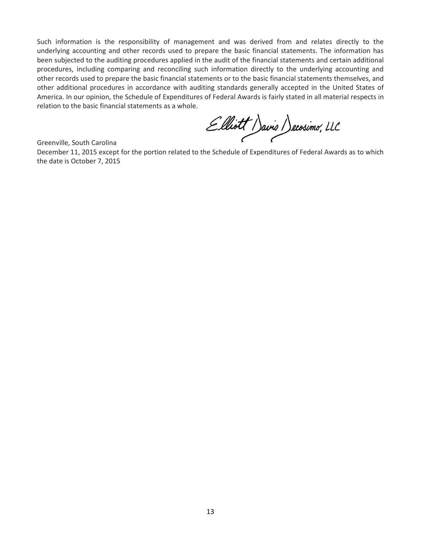Such information is the responsibility of management and was derived from and relates directly to the underlying accounting and other records used to prepare the basic financial statements. The information has been subjected to the auditing procedures applied in the audit of the financial statements and certain additional procedures, including comparing and reconciling such information directly to the underlying accounting and other records used to prepare the basic financial statements or to the basic financial statements themselves, and other additional procedures in accordance with auditing standards generally accepted in the United States of America. In our opinion, the Schedule of Expenditures of Federal Awards is fairly stated in all material respects in relation to the basic financial statements as a whole.

Elliott Davis Decosimo, LLC

Greenville, South Carolina December 11, 2015 except for the portion related to the Schedule of Expenditures of Federal Awards as to which the date is October 7, 2015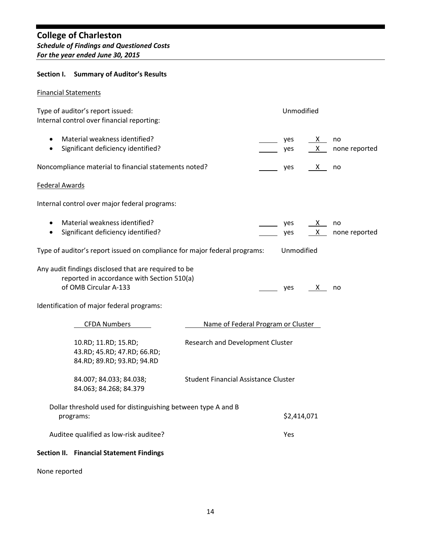# **College of Charleston** *Schedule of Findings and Questioned Costs For the year ended June 30, 2015*

## **Section I. Summary of Auditor's Results**

## Financial Statements

| Type of auditor's report issued:<br>Internal control over financial reporting:                                                                                           |                                             |  | Unmodified  |                     |                     |
|--------------------------------------------------------------------------------------------------------------------------------------------------------------------------|---------------------------------------------|--|-------------|---------------------|---------------------|
| Material weakness identified?<br>Significant deficiency identified?<br>$\bullet$                                                                                         |                                             |  | yes<br>yes  | $\mathsf{X}$<br>X — | no<br>none reported |
| Noncompliance material to financial statements noted?                                                                                                                    |                                             |  | yes         | $X_{-}$             | no                  |
| <b>Federal Awards</b>                                                                                                                                                    |                                             |  |             |                     |                     |
| Internal control over major federal programs:                                                                                                                            |                                             |  |             |                     |                     |
| Material weakness identified?<br>$\bullet$<br>Significant deficiency identified?<br>$\bullet$                                                                            |                                             |  | yes<br>yes  | $\mathsf{X}$<br>X.  | no<br>none reported |
| Type of auditor's report issued on compliance for major federal programs:                                                                                                |                                             |  | Unmodified  |                     |                     |
| Any audit findings disclosed that are required to be<br>reported in accordance with Section 510(a)<br>of OMB Circular A-133<br>Identification of major federal programs: |                                             |  | yes         | X —                 | no                  |
| <b>CFDA Numbers</b>                                                                                                                                                      | Name of Federal Program or Cluster          |  |             |                     |                     |
| 10.RD; 11.RD; 15.RD;<br>43.RD; 45.RD; 47.RD; 66.RD;<br>84.RD; 89.RD; 93.RD; 94.RD                                                                                        | Research and Development Cluster            |  |             |                     |                     |
| 84.007; 84.033; 84.038;<br>84.063; 84.268; 84.379                                                                                                                        | <b>Student Financial Assistance Cluster</b> |  |             |                     |                     |
| Dollar threshold used for distinguishing between type A and B<br>programs:                                                                                               |                                             |  | \$2,414,071 |                     |                     |
| Auditee qualified as low-risk auditee?                                                                                                                                   |                                             |  | Yes         |                     |                     |
| Section II. Financial Statement Findings                                                                                                                                 |                                             |  |             |                     |                     |

None reported